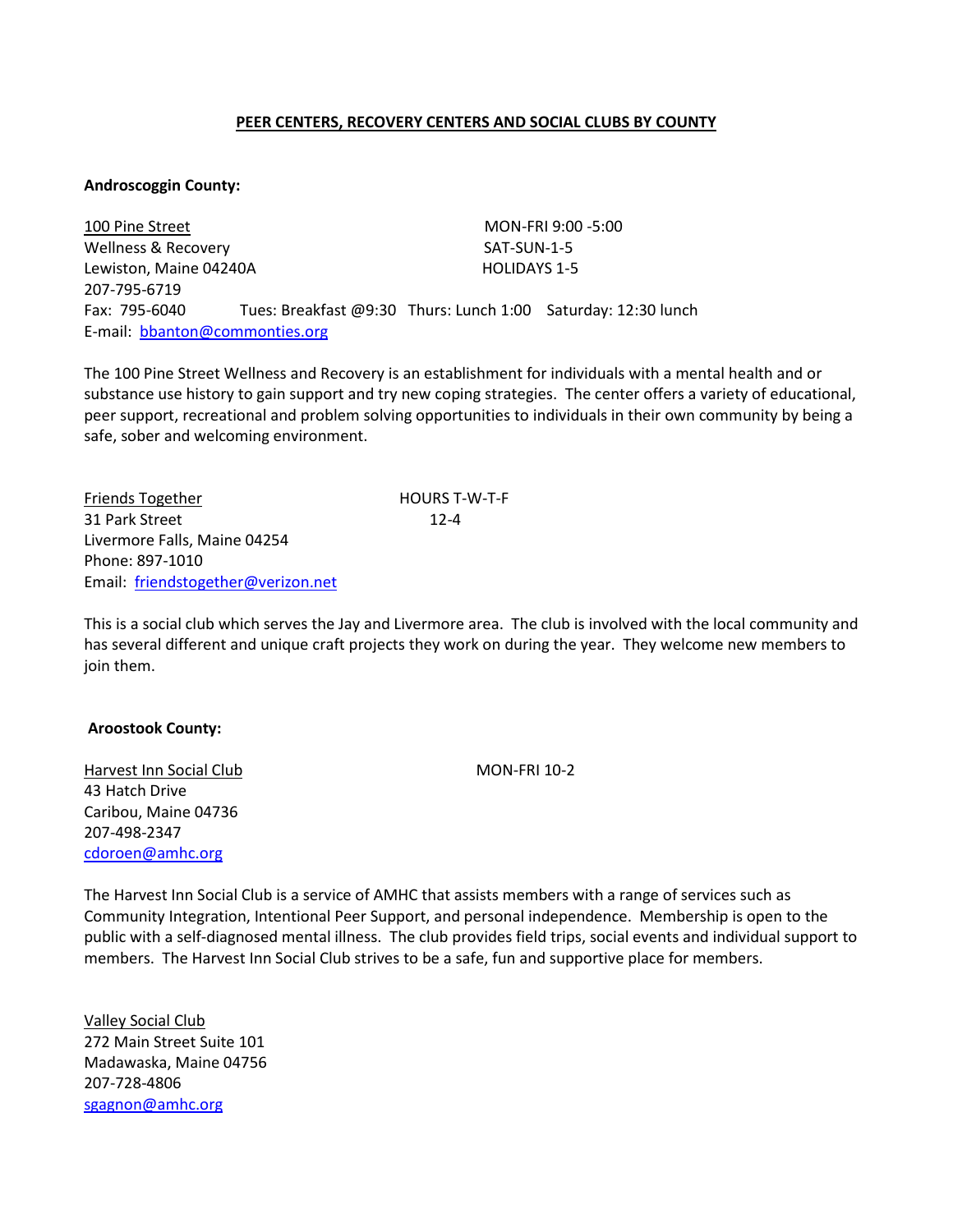# **PEER CENTERS, RECOVERY CENTERS AND SOCIAL CLUBS BY COUNTY**

#### **Androscoggin County:**

100 Pine Street MON-FRI 9:00 -5:00 Wellness & Recovery SAT-SUN-1-5 Lewiston, Maine 04240A **HOLIDAYS** 1-5 207-795-6719 Fax: 795-6040 Tues: Breakfast @9:30 Thurs: Lunch 1:00 Saturday: 12:30 lunch E-mail: [bbanton@commonties.org](mailto:bbanton@commonties.org)

The 100 Pine Street Wellness and Recovery is an establishment for individuals with a mental health and or substance use history to gain support and try new coping strategies. The center offers a variety of educational, peer support, recreational and problem solving opportunities to individuals in their own community by being a safe, sober and welcoming environment.

Friends Together **HOURS T-W-T-F** 31 Park Street 12-4 Livermore Falls, Maine 04254 Phone: 897-1010 Email: [friendstogether@verizon.net](mailto:friendstogether@verizon.net)

This is a social club which serves the Jay and Livermore area. The club is involved with the local community and has several different and unique craft projects they work on during the year. They welcome new members to join them.

## **Aroostook County:**

Harvest Inn Social Club MON-FRI 10-2 43 Hatch Drive Caribou, Maine 04736 207-498-2347 [cdoroen@amhc.org](mailto:sgagnon@amhc.org)

The Harvest Inn Social Club is a service of AMHC that assists members with a range of services such as Community Integration, Intentional Peer Support, and personal independence. Membership is open to the public with a self-diagnosed mental illness. The club provides field trips, social events and individual support to members. The Harvest Inn Social Club strives to be a safe, fun and supportive place for members.

Valley Social Club 272 Main Street Suite 101 Madawaska, Maine 04756 207-728-4806 [sgagnon@amhc.org](mailto:sgagnon@amhc.org)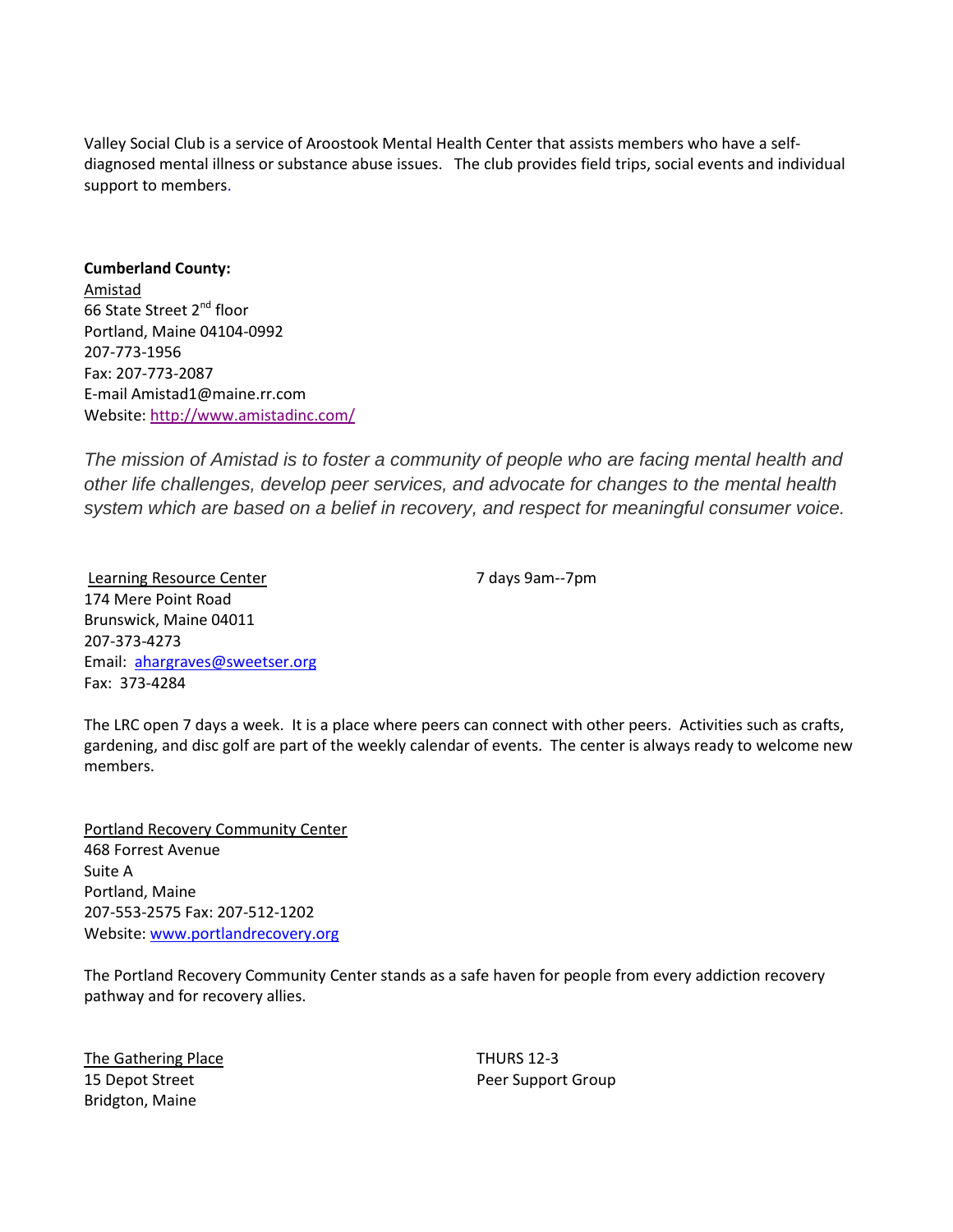Valley Social Club is a service of Aroostook Mental Health Center that assists members who have a selfdiagnosed mental illness or substance abuse issues. The club provides field trips, social events and individual support to members.

**Cumberland County:** Amistad 66 State Street 2<sup>nd</sup> floor Portland, Maine 04104-0992 207-773-1956 Fax: 207-773-2087 E-mail Amistad1@maine.rr.com Website[: http://www.amistadinc.com/](http://www.amistadinc.com/)

*The mission of Amistad is to foster a community of people who are facing mental health and other life challenges, develop peer services, and advocate for changes to the mental health system which are based on a belief in recovery, and respect for meaningful consumer voice.* 

Learning Resource Center 1986 1997 1998 1998 7 days 9am--7pm 174 Mere Point Road Brunswick, Maine 04011 207-373-4273 Email: [ahargraves@sweetser.org](mailto:ahargraves@sweetser.org) Fax: 373-4284

The LRC open 7 days a week. It is a place where peers can connect with other peers. Activities such as crafts, gardening, and disc golf are part of the weekly calendar of events. The center is always ready to welcome new members.

Portland Recovery Community Center 468 Forrest Avenue Suite A Portland, Maine 207-553-2575 Fax: 207-512-1202 Website[: www.portlandrecovery.org](http://www.portlandrecovery.org/)

The Portland Recovery Community Center stands as a safe haven for people from every addiction recovery pathway and for recovery allies.

The Gathering Place Thurs 12-3 15 Depot Street **Peer Support Group** Bridgton, Maine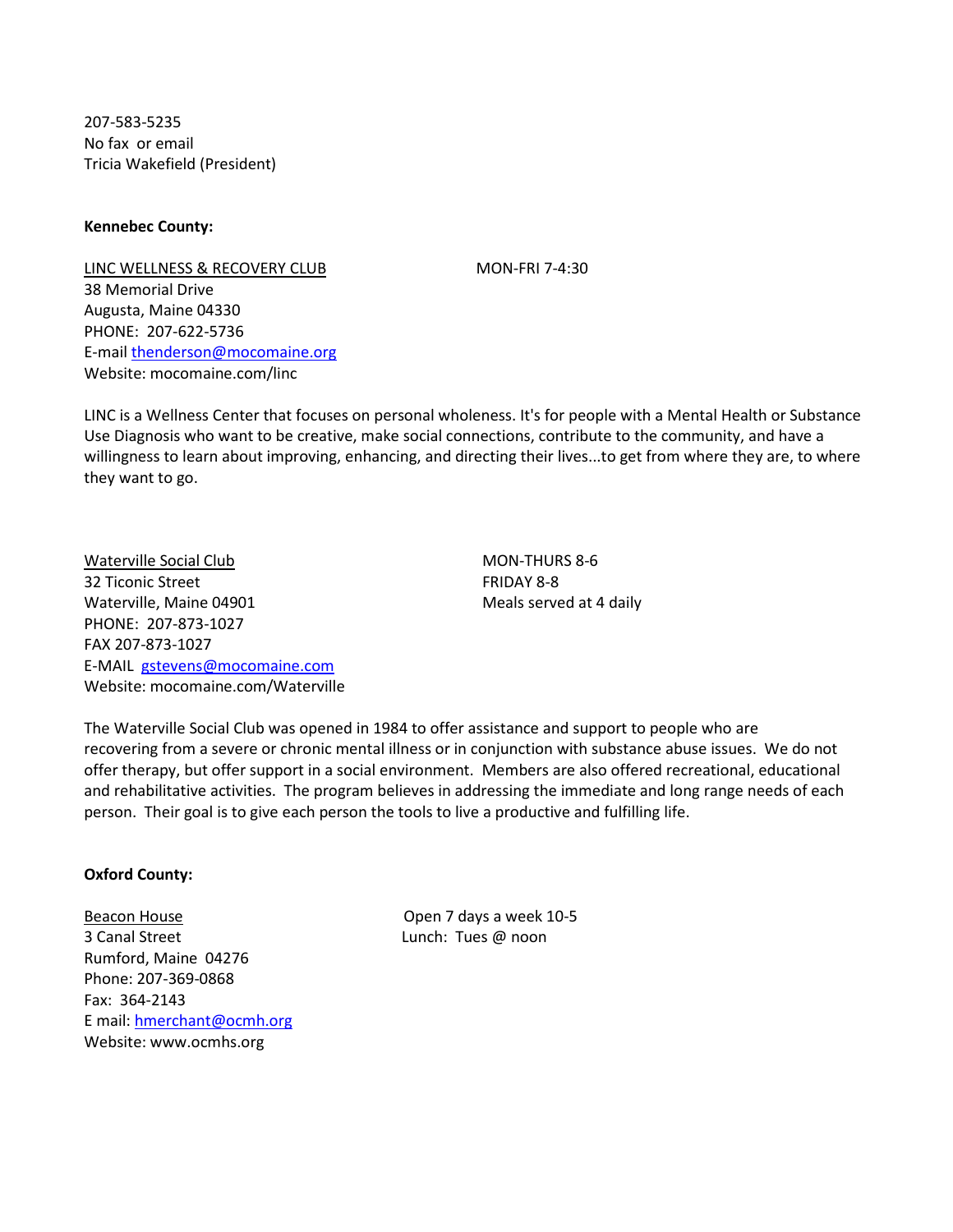207-583-5235 No fax or email Tricia Wakefield (President)

**Kennebec County:**

LINC WELLNESS & RECOVERY CLUB MON-FRI 7-4:30 38 Memorial Drive Augusta, Maine 04330 PHONE: 207-622-5736 E-mail [thenderson@mocomaine.org](mailto:thenderson@mocomaine.org) Website: mocomaine.com/linc

LINC is a Wellness Center that focuses on personal wholeness. It's for people with a Mental Health or Substance Use Diagnosis who want to be creative, make social connections, contribute to the community, and have a willingness to learn about improving, enhancing, and directing their lives...to get from where they are, to where they want to go.

Waterville Social Club MON-THURS 8-6 32 Ticonic Street FRIDAY 8-8 Waterville, Maine 04901 Meals served at 4 daily PHONE: 207-873-1027 FAX 207-873-1027 E-MAIL [gstevens@mocomaine.com](mailto:gstevens@mocomaine.com) Website: mocomaine.com/Waterville

The Waterville Social Club was opened in 1984 to offer assistance and support to people who are recovering from a severe or chronic mental illness or in conjunction with substance abuse issues. We do not offer therapy, but offer support in a social environment. Members are also offered recreational, educational and rehabilitative activities. The program believes in addressing the immediate and long range needs of each person. Their goal is to give each person the tools to live a productive and fulfilling life.

# **Oxford County:**

Beacon House **Beacon House COPEN 10-5** 3 Canal Street Lunch: Tues @ noon Rumford, Maine 04276 Phone: 207-369-0868 Fax: 364-2143 E mail: [hmerchant@ocmh.org](mailto:hmerchant@ocmh.org) Website: www.ocmhs.org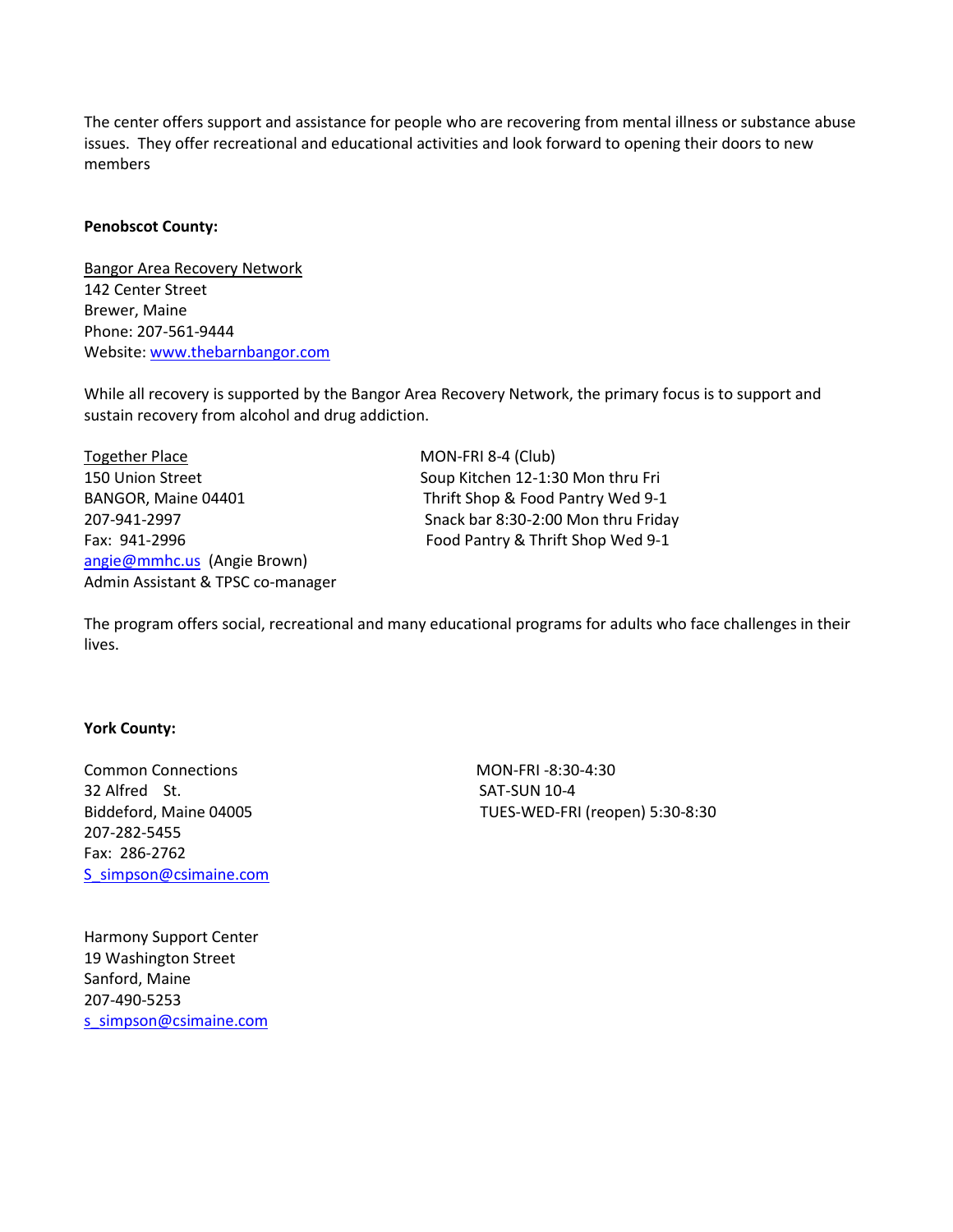The center offers support and assistance for people who are recovering from mental illness or substance abuse issues. They offer recreational and educational activities and look forward to opening their doors to new members

## **Penobscot County:**

Bangor Area Recovery Network 142 Center Street Brewer, Maine Phone: 207-561-9444 Website[: www.thebarnbangor.com](http://www.thebarnbangor.com/)

While all recovery is supported by the Bangor Area Recovery Network, the primary focus is to support and sustain recovery from alcohol and drug addiction.

Together Place MON-FRI 8-4 (Club) 150 Union Street Soup Kitchen 12-1:30 Mon thru Fri BANGOR, Maine 04401 Thrift Shop & Food Pantry Wed 9-1 207-941-2997 Snack bar 8:30-2:00 Mon thru Friday Fax: 941-2996 Food Pantry & Thrift Shop Wed 9-1 [angie@mmhc.us](mailto:angie@mmhc.us) (Angie Brown) Admin Assistant & TPSC co-manager

The program offers social, recreational and many educational programs for adults who face challenges in their lives.

## **York County:**

Common Connections MON-FRI -8:30-4:30 32 Alfred St. SAT-SUN 10-4 207-282-5455 Fax: 286-2762 [S\\_simpson@csimaine.com](mailto:S_simpson@csimaine.com)

Harmony Support Center 19 Washington Street Sanford, Maine 207-490-5253 [s\\_simpson@csimaine.com](mailto:s_simpson@csimaine.com)

Biddeford, Maine 04005 TUES-WED-FRI (reopen) 5:30-8:30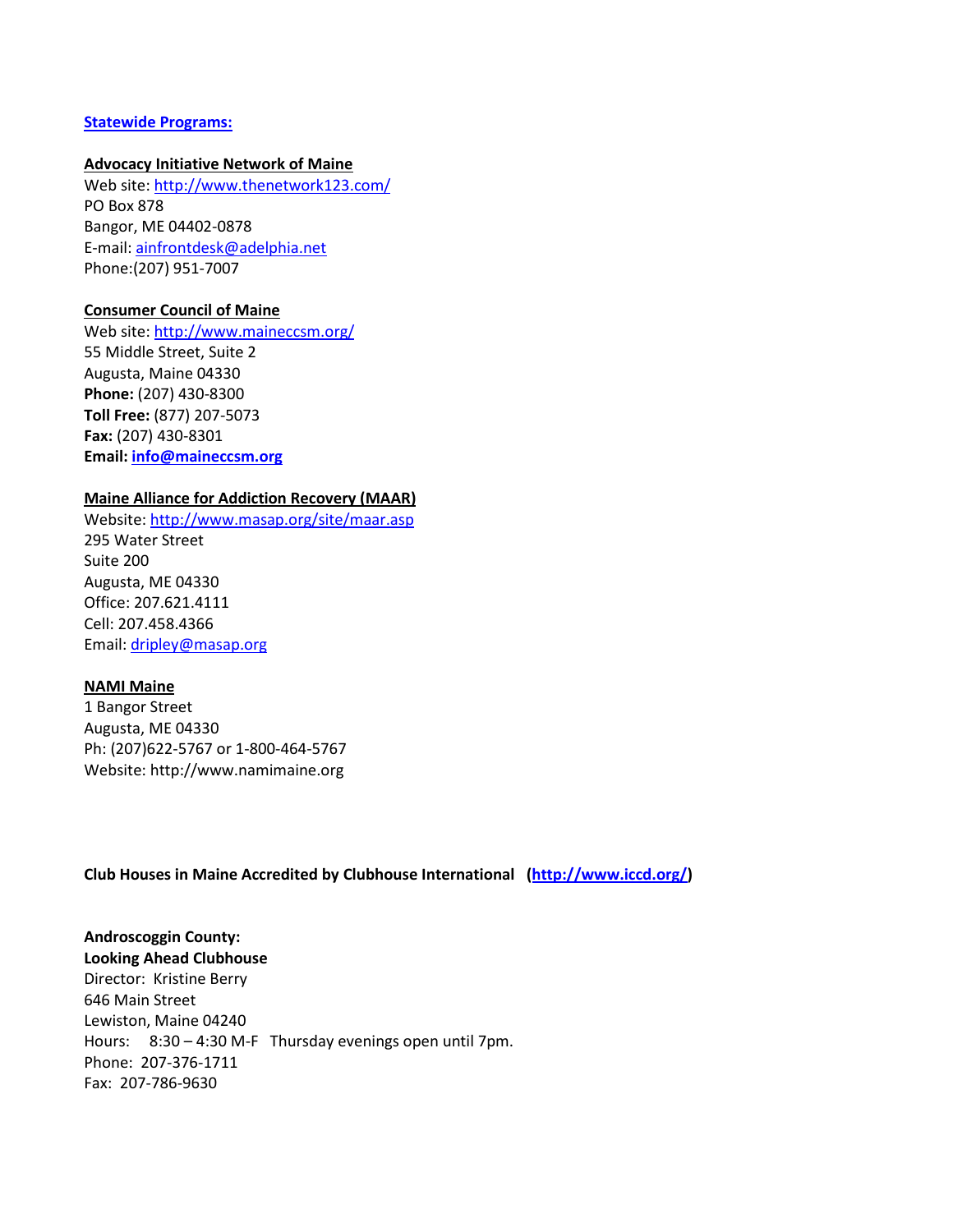## **Statewide Programs:**

#### **Advocacy Initiative Network of Maine**

Web site:<http://www.thenetwork123.com/> PO Box 878 Bangor, ME 04402-0878 E-mail: [ainfrontdesk@adelphia.net](mailto:ainfrontdesk@adelphia.net) Phone:(207) 951-7007

#### **Consumer Council of Maine**

Web site:<http://www.maineccsm.org/> 55 Middle Street, Suite 2 Augusta, Maine 04330 **Phone:** (207) 430-8300 **Toll Free:** (877) 207-5073 **Fax:** (207) 430-8301 **Email: [info@maineccsm.org](mailto:info@maineccsm.org)**

# **Maine Alliance for Addiction Recovery (MAAR)**

Website[: http://www.masap.org/site/maar.asp](http://www.masap.org/site/maar.asp) 295 Water Street Suite 200 Augusta, ME 04330 Office: 207.621.4111 Cell: 207.458.4366 Email: [dripley@masap.org](mailto:dripley@masap.org)

## **NAMI Maine**

1 Bangor Street Augusta, ME 04330 Ph: (207)622-5767 or 1-800-464-5767 Website: http://www.namimaine.org

**Club Houses in Maine Accredited by Clubhouse International [\(http://www.iccd.org/\)](http://www.iccd.org/)**

**Androscoggin County: Looking Ahead Clubhouse** Director: Kristine Berry 646 Main Street Lewiston, Maine 04240 Hours: 8:30 – 4:30 M-F Thursday evenings open until 7pm. Phone: 207-376-1711 Fax: 207-786-9630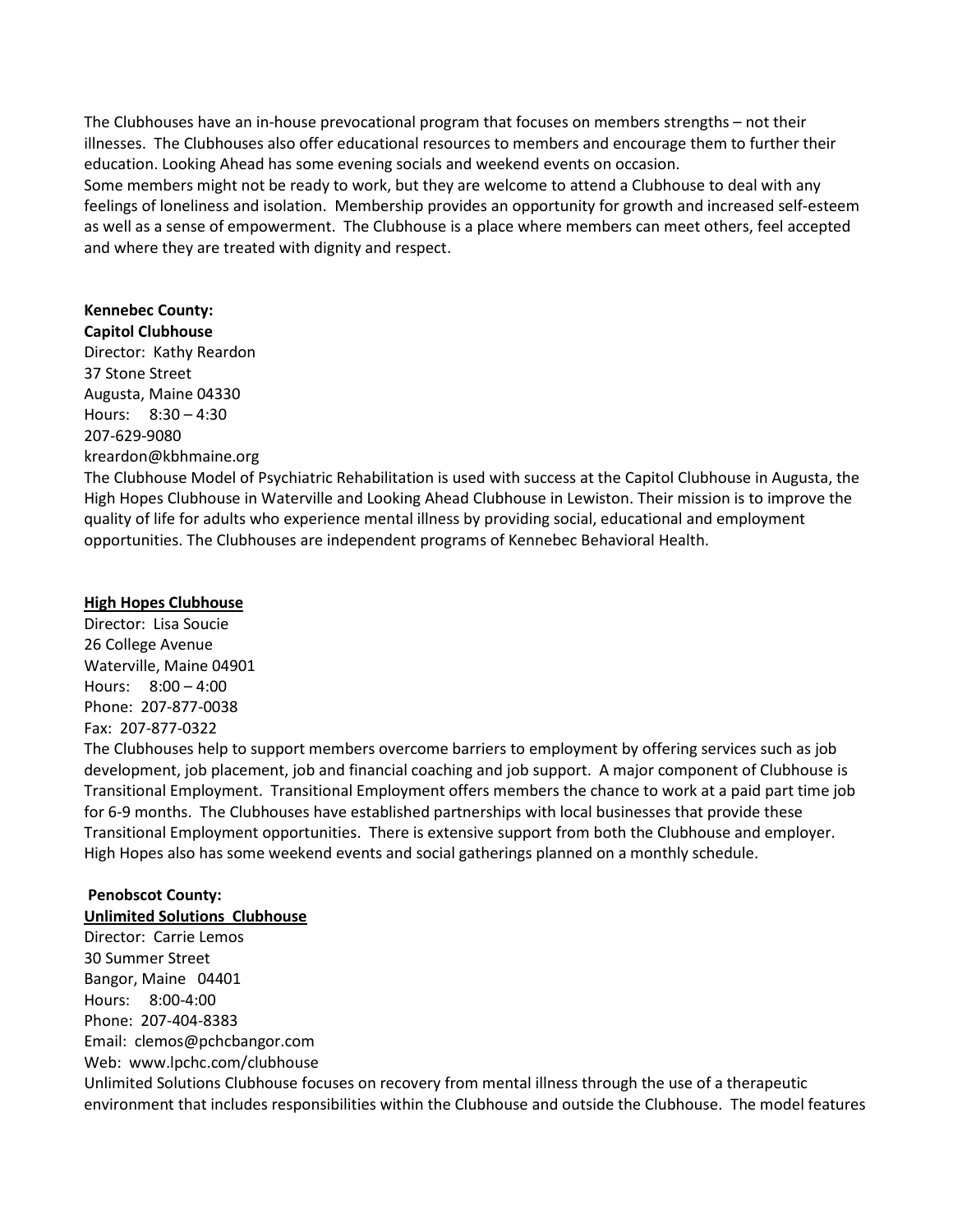The Clubhouses have an in-house prevocational program that focuses on members strengths – not their illnesses. The Clubhouses also offer educational resources to members and encourage them to further their education. Looking Ahead has some evening socials and weekend events on occasion.

Some members might not be ready to work, but they are welcome to attend a Clubhouse to deal with any feelings of loneliness and isolation. Membership provides an opportunity for growth and increased self-esteem as well as a sense of empowerment. The Clubhouse is a place where members can meet others, feel accepted and where they are treated with dignity and respect.

# **Kennebec County:**

**Capitol Clubhouse** Director: Kathy Reardon 37 Stone Street Augusta, Maine 04330 Hours: 8:30 – 4:30 207-629-9080 kreardon@kbhmaine.org

The Clubhouse Model of Psychiatric Rehabilitation is used with success at the Capitol Clubhouse in Augusta, the High Hopes Clubhouse in Waterville and Looking Ahead Clubhouse in Lewiston. Their mission is to improve the quality of life for adults who experience mental illness by providing social, educational and employment opportunities. The Clubhouses are independent programs of Kennebec Behavioral Health.

# **High Hopes Clubhouse**

Director: Lisa Soucie 26 College Avenue Waterville, Maine 04901 Hours: 8:00 – 4:00 Phone: 207-877-0038 Fax: 207-877-0322

The Clubhouses help to support members overcome barriers to employment by offering services such as job development, job placement, job and financial coaching and job support. A major component of Clubhouse is Transitional Employment. Transitional Employment offers members the chance to work at a paid part time job for 6-9 months. The Clubhouses have established partnerships with local businesses that provide these Transitional Employment opportunities. There is extensive support from both the Clubhouse and employer. High Hopes also has some weekend events and social gatherings planned on a monthly schedule.

## **Penobscot County: Unlimited Solutions Clubhouse**

Director: Carrie Lemos 30 Summer Street Bangor, Maine 04401 Hours: 8:00-4:00 Phone: 207-404-8383 Email: clemos@pchcbangor.com Web: www.lpchc.com/clubhouse Unlimited Solutions Clubhouse focuses on recovery from mental illness through the use of a therapeutic environment that includes responsibilities within the Clubhouse and outside the Clubhouse. The model features